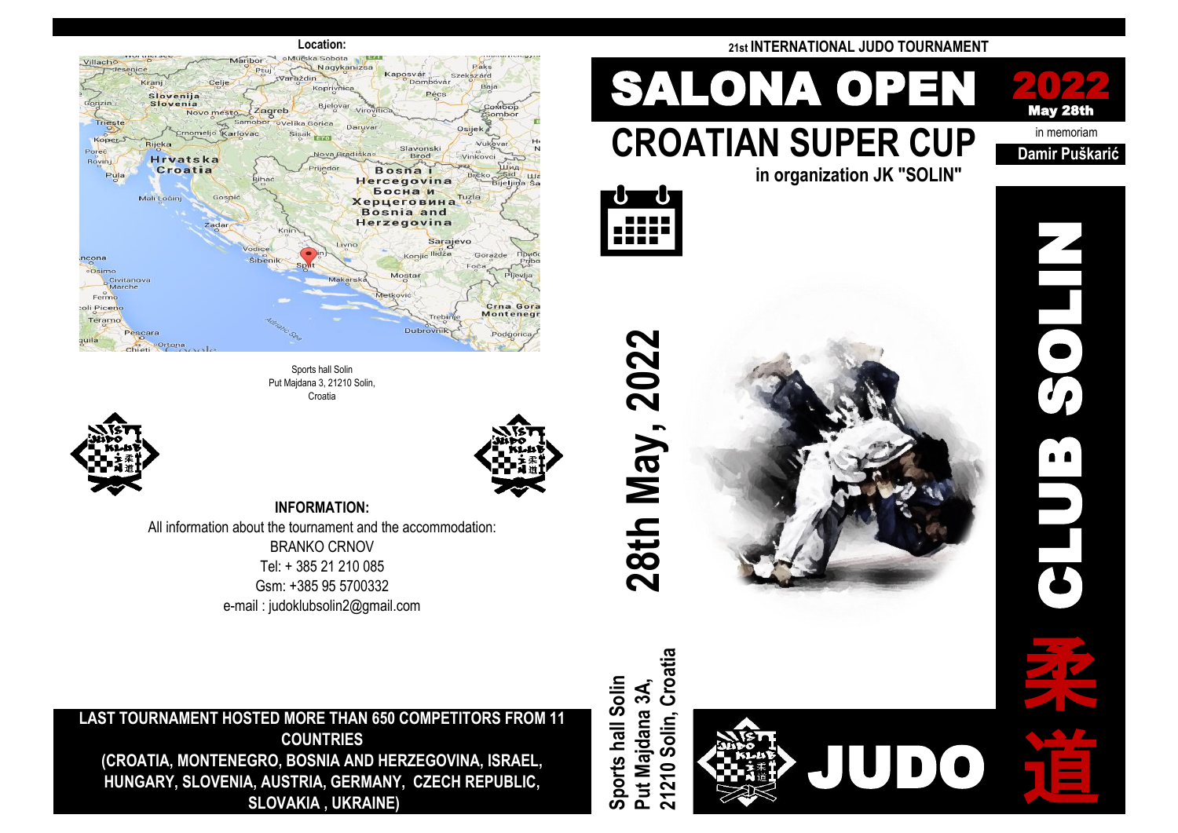

Sports hall Solin Put Majdana 3, 21210 Solin, Croatia





**INFORMATION:** All information about the tournament and the accommodation: BRANKO CRNOV Tel: + 385 21 210 085 Gsm: +385 95 5700332

e-mail : judoklubsolin2@gmail.com

**LAST TOURNAMENT HOSTED MORE THAN 650 COMPETITORS FROM 11 COUNTRIES (CROATIA, MONTENEGRO, BOSNIA AND HERZEGOVINA, ISRAEL, HUNGARY, SLOVENIA, AUSTRIA, GERMANY, CZECH REPUBLIC, SLOVAKIA , UKRAINE)**

### **Location: 21st INTERNATIONAL JUDO TOURNAMENT**

# in memoriam **CROATIAN SUPER CUP Damir Puškarić SALONA OPEN**



CLUB SOLIN

**in organization JK "SOLIN"**



**28th May, 2022**

**Sports hall Solin** 

Sports hall Solin